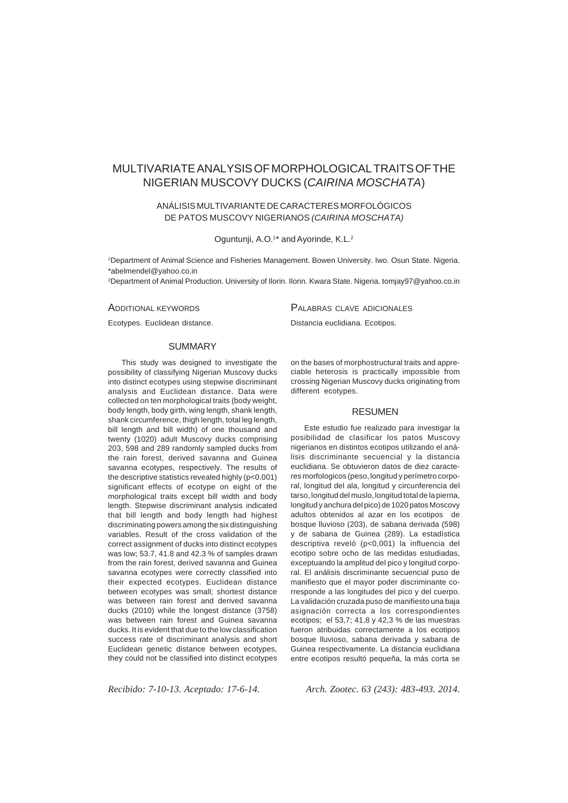# MULTIVARIATE ANALYSIS OF MORPHOLOGICAL TRAITS OF THE NIGERIAN MUSCOVY DUCKS (*CAIRINA MOSCHATA*)

# ANÁLISIS MULTIVARIANTE DE CARACTERES MORFOLÓGICOS DE PATOS MUSCOVY NIGERIANOS *(CAIRINA MOSCHATA)*

Oguntunji, A.O.<sup>1\*</sup> and Ayorinde, K.L.<sup>2</sup>

1 Department of Animal Science and Fisheries Management. Bowen University. Iwo. Osun State. Nigeria. \*abelmendel@yahoo.co.in

2Department of Animal Production. University of Ilorin. Ilorin. Kwara State. Nigeria. tomjay97@yahoo.co.in

#### ADDITIONAL KEYWORDS

Ecotypes. Euclidean distance.

#### SUMMARY

This study was designed to investigate the possibility of classifying Nigerian Muscovy ducks into distinct ecotypes using stepwise discriminant analysis and Euclidean distance. Data were collected on ten morphological traits (body weight, body length, body girth, wing length, shank length, shank circumference, thigh length, total leg length, bill length and bill width) of one thousand and twenty (1020) adult Muscovy ducks comprising 203, 598 and 289 randomly sampled ducks from the rain forest, derived savanna and Guinea savanna ecotypes, respectively. The results of the descriptive statistics revealed highly (p<0.001) significant effects of ecotype on eight of the morphological traits except bill width and body length. Stepwise discriminant analysis indicated that bill length and body length had highest discriminating powers among the six distinguishing variables. Result of the cross validation of the correct assignment of ducks into distinct ecotypes was low; 53.7, 41.8 and 42.3 % of samples drawn from the rain forest, derived savanna and Guinea savanna ecotypes were correctly classified into their expected ecotypes. Euclidean distance between ecotypes was small; shortest distance was between rain forest and derived savanna ducks (2010) while the longest distance (3758) was between rain forest and Guinea savanna ducks. It is evident that due to the low classification success rate of discriminant analysis and short Euclidean genetic distance between ecotypes, they could not be classified into distinct ecotypes

on the bases of morphostructural traits and appreciable heterosis is practically impossible from crossing Nigerian Muscovy ducks originating from different ecotypes.

PALABRAS CLAVE ADICIONALES Distancia euclidiana. Ecotipos.

#### RESUMEN

Este estudio fue realizado para investigar la posibilidad de clasificar los patos Muscovy nigerianos en distintos ecotipos utilizando el análisis discriminante secuencial y la distancia euclidiana. Se obtuvieron datos de diez caracteres morfologicos (peso, longitud y perímetro corporal, longitud del ala, longitud y circunferencia del tarso, longitud del muslo, longitud total de la pierna, longitud y anchura del pico) de 1020 patos Moscovy adultos obtenidos al azar en los ecotipos de bosque lluvioso (203), de sabana derivada (598) y de sabana de Guinea (289). La estadística descriptiva reveló (p<0,001) la influencia del ecotipo sobre ocho de las medidas estudiadas, exceptuando la amplitud del pico y longitud corporal. El análisis discriminante secuencial puso de manifiesto que el mayor poder discriminante corresponde a las longitudes del pico y del cuerpo. La validación cruzada puso de manifiesto una baja asignación correcta a los correspondientes ecotipos; el 53,7; 41,8 y 42,3 % de las muestras fueron atribuidas correctamente a los ecotipos bosque lluvioso, sabana derivada y sabana de Guinea respectivamente. La distancia euclidiana entre ecotipos resultó pequeña, la más corta se

*Recibido: 7-10-13. Aceptado: 17-6-14. Arch. Zootec. 63 (243): 483-493. 2014.*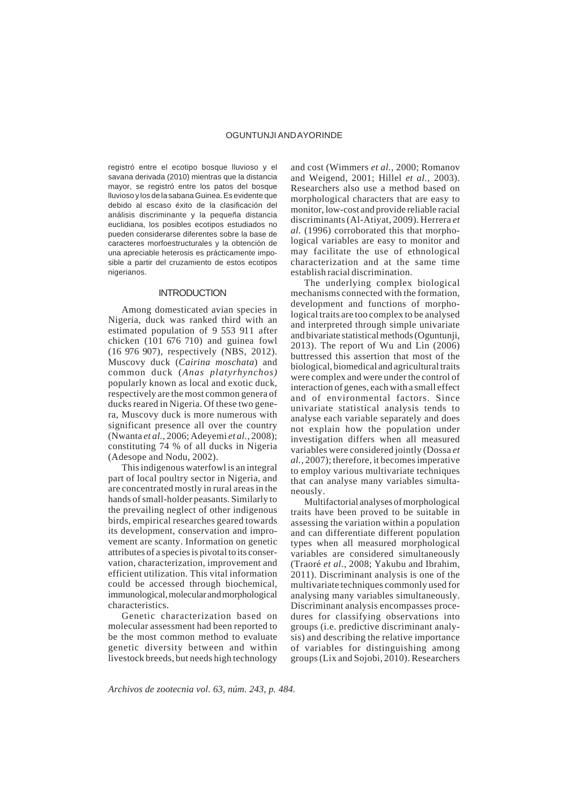registró entre el ecotipo bosque lluvioso y el savana derivada (2010) mientras que la distancia mayor, se registró entre los patos del bosque lluvioso y los de la sabana Guinea. Es evidente que debido al escaso éxito de la clasificación del análisis discriminante y la pequeña distancia euclidiana, los posibles ecotipos estudiados no pueden considerarse diferentes sobre la base de caracteres morfoestructurales y la obtención de una apreciable heterosis es prácticamente imposible a partir del cruzamiento de estos ecotipos nigerianos.

#### **INTRODUCTION**

Among domesticated avian species in Nigeria, duck was ranked third with an estimated population of 9 553 911 after chicken (101 676 710) and guinea fowl (16 976 907), respectively (NBS, 2012). Muscovy duck (*Cairina moschata*) and common duck (*Anas platyrhynchos)* popularly known as local and exotic duck, respectively are the most common genera of ducks reared in Nigeria. Of these two genera, Muscovy duck is more numerous with significant presence all over the country (Nwanta *et al.,* 2006; Adeyemi *et al.,* 2008); constituting 74 % of all ducks in Nigeria (Adesope and Nodu, 2002).

This indigenous waterfowl is an integral part of local poultry sector in Nigeria, and are concentrated mostly in rural areas in the hands of small-holder peasants. Similarly to the prevailing neglect of other indigenous birds, empirical researches geared towards its development, conservation and improvement are scanty. Information on genetic attributes of a species is pivotal to its conservation, characterization, improvement and efficient utilization. This vital information could be accessed through biochemical, immunological, molecular and morphological characteristics.

Genetic characterization based on molecular assessment had been reported to be the most common method to evaluate genetic diversity between and within livestock breeds, but needs high technology

and cost (Wimmers *et al.,* 2000; Romanov and Weigend, 2001; Hillel *et al.,* 2003). Researchers also use a method based on morphological characters that are easy to monitor, low-cost and provide reliable racial discriminants (Al-Atiyat, 2009). Herrera *et al.* (1996) corroborated this that morphological variables are easy to monitor and may facilitate the use of ethnological characterization and at the same time establish racial discrimination.

The underlying complex biological mechanisms connected with the formation, development and functions of morphological traits are too complex to be analysed and interpreted through simple univariate and bivariate statistical methods (Oguntunji, 2013). The report of Wu and Lin (2006) buttressed this assertion that most of the biological, biomedical and agricultural traits were complex and were under the control of interaction of genes, each with a small effect and of environmental factors. Since univariate statistical analysis tends to analyse each variable separately and does not explain how the population under investigation differs when all measured variables were considered jointly (Dossa *et al.*, 2007); therefore, it becomes imperative to employ various multivariate techniques that can analyse many variables simultaneously.

Multifactorial analyses of morphological traits have been proved to be suitable in assessing the variation within a population and can differentiate different population types when all measured morphological variables are considered simultaneously (Traoré *et al.,* 2008; Yakubu and Ibrahim, 2011). Discriminant analysis is one of the multivariate techniques commonly used for analysing many variables simultaneously. Discriminant analysis encompasses procedures for classifying observations into groups (i.e. predictive discriminant analysis) and describing the relative importance of variables for distinguishing among groups (Lix and Sojobi, 2010). Researchers

*Archivos de zootecnia vol. 63, núm. 243, p. 484.*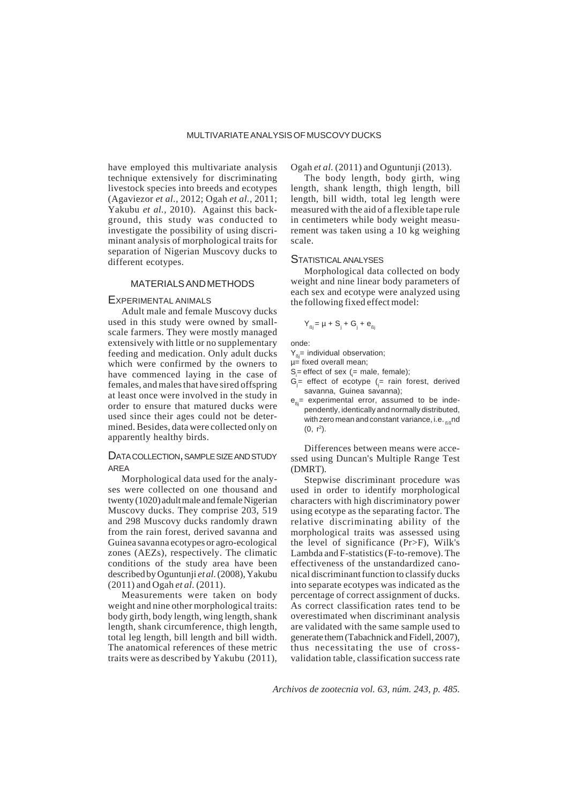have employed this multivariate analysis technique extensively for discriminating livestock species into breeds and ecotypes (Agaviezor *et al.,* 2012; Ogah *et al.,* 2011; Yakubu *et al.,* 2010). Against this background, this study was conducted to investigate the possibility of using discriminant analysis of morphological traits for separation of Nigerian Muscovy ducks to different ecotypes.

#### MATERIALS AND METHODS

# EXPERIMENTAL ANIMALS

Adult male and female Muscovy ducks used in this study were owned by smallscale farmers. They were mostly managed extensively with little or no supplementary feeding and medication. Only adult ducks which were confirmed by the owners to have commenced laying in the case of females, and males that have sired offspring at least once were involved in the study in order to ensure that matured ducks were used since their ages could not be determined. Besides, data were collected only on apparently healthy birds.

### DATA COLLECTION, SAMPLE SIZE AND STUDY AREA

Morphological data used for the analyses were collected on one thousand and twenty (1020) adult male and female Nigerian Muscovy ducks. They comprise 203, 519 and 298 Muscovy ducks randomly drawn from the rain forest, derived savanna and Guinea savanna ecotypes or agro-ecological zones (AEZs), respectively. The climatic conditions of the study area have been described by Oguntunji *et al.* (2008), Yakubu (2011) and Ogah *et al.* (2011).

Measurements were taken on body weight and nine other morphological traits: body girth, body length, wing length, shank length, shank circumference, thigh length, total leg length, bill length and bill width. The anatomical references of these metric traits were as described by Yakubu (2011), Ogah *et al.* (2011) and Oguntunji (2013).

The body length, body girth, wing length, shank length, thigh length, bill length, bill width, total leg length were measured with the aid of a flexible tape rule in centimeters while body weight measurement was taken using a 10 kg weighing scale.

#### STATISTICALANALYSES

Morphological data collected on body weight and nine linear body parameters of each sex and ecotype were analyzed using the following fixed effect model:

$$
Y_{\beta j} = \mu + S_j + G_j + e_{\beta j}
$$

onde:

- $Y_{0}$ = individual observation;
- $u =$  fixed overall mean;
- $S_i$ = effect of sex ( $i$ = male, female);
- G<sub>j</sub>= effect of ecotype (<sub>j</sub>= rain forest, derived savanna, Guinea savanna);
- $e_{\alpha}$ = experimental error, assumed to be independently, identically and normally distributed, with zero mean and constant variance, i.e.  $_{\text{R}}$ nd  $(0, r^2)$ .

Differences between means were accessed using Duncan's Multiple Range Test (DMRT).

Stepwise discriminant procedure was used in order to identify morphological characters with high discriminatory power using ecotype as the separating factor. The relative discriminating ability of the morphological traits was assessed using the level of significance (Pr>F), Wilk's Lambda and F-statistics (F-to-remove). The effectiveness of the unstandardized canonical discriminant function to classify ducks into separate ecotypes was indicated as the percentage of correct assignment of ducks. As correct classification rates tend to be overestimated when discriminant analysis are validated with the same sample used to generate them (Tabachnick and Fidell, 2007), thus necessitating the use of crossvalidation table, classification success rate

*Archivos de zootecnia vol. 63, núm. 243, p. 485.*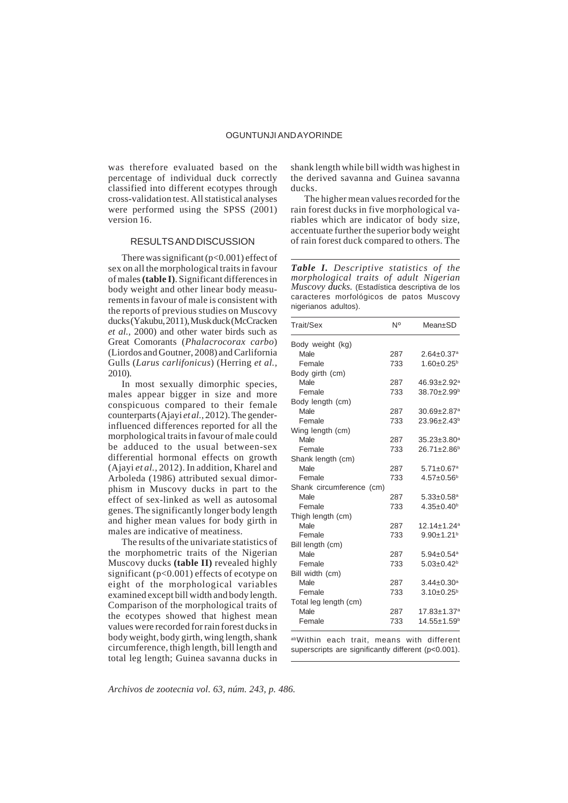was therefore evaluated based on the percentage of individual duck correctly classified into different ecotypes through cross-validation test. All statistical analyses were performed using the SPSS (2001) version 16.

#### RESULTS AND DISCUSSION

There was significant  $(p<0.001)$  effect of sex on all the morphological traits in favour of males **(table I)**. Significant differences in body weight and other linear body measurements in favour of male is consistent with the reports of previous studies on Muscovy ducks (Yakubu, 2011), Musk duck (McCracken *et al.,* 2000) and other water birds such as Great Comorants (*Phalacrocorax carbo*) (Liordos and Goutner, 2008) and Carlifornia Gulls (*Larus carlifonicus*) (Herring *et al.,* 2010).

In most sexually dimorphic species, males appear bigger in size and more conspicuous compared to their female counterparts (Ajayi *et al.,* 2012). The genderinfluenced differences reported for all the morphological traits in favour of male could be adduced to the usual between-sex differential hormonal effects on growth (Ajayi *et al.,* 2012). In addition, Kharel and Arboleda (1986) attributed sexual dimorphism in Muscovy ducks in part to the effect of sex-linked as well as autosomal genes. The significantly longer body length and higher mean values for body girth in males are indicative of meatiness.

The results of the univariate statistics of the morphometric traits of the Nigerian Muscovy ducks **(table II)** revealed highly significant (p<0.001) effects of ecotype on eight of the morphological variables examined except bill width and body length. Comparison of the morphological traits of the ecotypes showed that highest mean values were recorded for rain forest ducks in body weight, body girth, wing length, shank circumference, thigh length, bill length and total leg length; Guinea savanna ducks in

shank length while bill width was highest in the derived savanna and Guinea savanna ducks.

The higher mean values recorded for the rain forest ducks in five morphological variables which are indicator of body size, accentuate further the superior body weight of rain forest duck compared to others. The

*Table I. Descriptive statistics of the morphological traits of adult Nigerian Muscovy ducks.* (Estadística descriptiva de los caracteres morfológicos de patos Muscovy nigerianos adultos).

| Trait/Sex                | N°  | Mean±SD                      |
|--------------------------|-----|------------------------------|
| Body weight (kg)         |     |                              |
| Male                     | 287 | $2.64 \pm 0.37$ <sup>a</sup> |
| Female                   | 733 | $1.60 \pm 0.25^b$            |
| Body girth (cm)          |     |                              |
| Male                     | 287 | 46.93±2.92 <sup>a</sup>      |
| Female                   | 733 | 38.70±2.99 <sup>b</sup>      |
| Body length (cm)         |     |                              |
| Male                     | 287 | 30.69±2.87 <sup>a</sup>      |
| Female                   | 733 | $23.96 \pm 2.43^b$           |
| Wing length (cm)         |     |                              |
| Male                     | 287 | 35.23±3.80 <sup>a</sup>      |
| Female                   | 733 | $26.71 \pm 2.86^b$           |
| Shank length (cm)        |     |                              |
| Male                     | 287 | $5.71 \pm 0.67$ <sup>a</sup> |
| Female                   | 733 | $4.57 \pm 0.56^b$            |
| Shank circumference (cm) |     |                              |
| Male                     | 287 | $5.33 \pm 0.58$ <sup>a</sup> |
| Female                   | 733 | $4.35 \pm 0.40^b$            |
| Thigh length (cm)        |     |                              |
| Male                     | 287 | 12.14±1.24 <sup>a</sup>      |
| Female                   | 733 | $9.90 \pm 1.21$ <sup>b</sup> |
| Bill length (cm)         |     |                              |
| Male                     | 287 | $5.94 \pm 0.54$ <sup>a</sup> |
| Female                   | 733 | $5.03 \pm 0.42$ <sup>b</sup> |
| Bill width (cm)          |     |                              |
| Male                     | 287 | $3.44 \pm 0.30^a$            |
| Female                   | 733 | $3.10 \pm 0.25^b$            |
| Total leg length (cm)    |     |                              |
| Male                     | 287 | 17.83±1.37 <sup>a</sup>      |
| Female                   | 733 | 14.55±1.59 <sup>b</sup>      |

abWithin each trait, means with different superscripts are significantly different (p<0.001).

*Archivos de zootecnia vol. 63, núm. 243, p. 486.*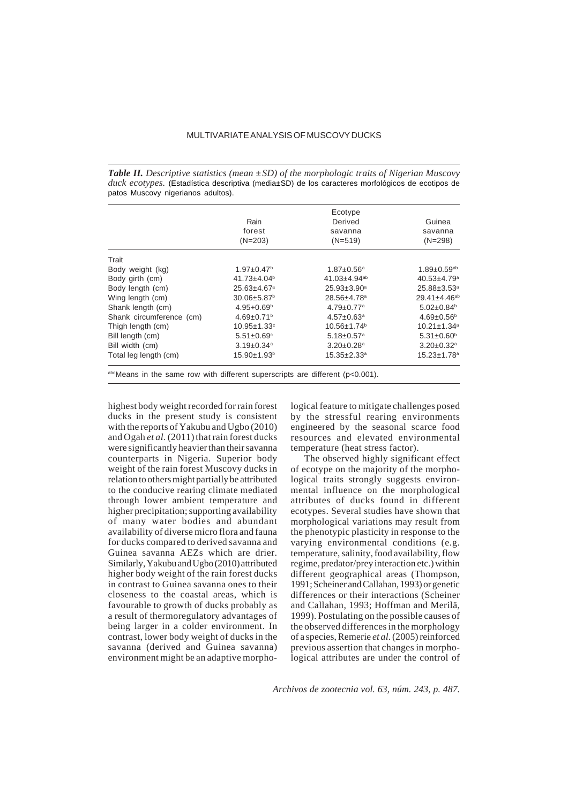### MULTIVARIATE ANALYSIS OF MUSCOVY DUCKS

*Table II. Descriptive statistics (mean ±SD) of the morphologic traits of Nigerian Muscovy duck ecotypes.* (Estadística descriptiva (media±SD) de los caracteres morfológicos de ecotipos de patos Muscovy nigerianos adultos).

|                          | Rain<br>forest<br>$(N=203)$   | Ecotype<br>Derived<br>savanna<br>$(N=519)$ | Guinea<br>savanna<br>$(N=298)$ |
|--------------------------|-------------------------------|--------------------------------------------|--------------------------------|
| Trait                    |                               |                                            |                                |
| Body weight (kg)         | $1.97 \pm 0.47$ <sup>b</sup>  | $1.87 \pm 0.56^a$                          | $1.89 \pm 0.59$ <sup>ab</sup>  |
| Body girth (cm)          | $41.73 \pm 4.04^b$            | 41.03 $\pm$ 4.94 <sup>ab</sup>             | $40.53 \pm 4.79$ <sup>a</sup>  |
| Body length (cm)         | $25.63 \pm 4.67$ <sup>a</sup> | $25.93 \pm 3.90^a$                         | $25.88 \pm 3.53^{\circ}$       |
| Wing length (cm)         | $30.06 \pm 5.87$ <sup>b</sup> | 28.56±4.78 <sup>a</sup>                    | $29.41 \pm 4.46$ <sup>ab</sup> |
| Shank length (cm)        | $4.95 + 0.69^{\circ}$         | $4.79 \pm 0.77$ <sup>a</sup>               | $5.02 \pm 0.84$ <sup>b</sup>   |
| Shank circumference (cm) | $4.69 \pm 0.71$ <sup>b</sup>  | $4.57 \pm 0.63$ <sup>a</sup>               | $4.69 \pm 0.56^{\circ}$        |
| Thigh length (cm)        | $10.95 \pm 1.33$ °            | $10.56 \pm 1.74$ <sup>b</sup>              | $10.21 \pm 1.34$ <sup>a</sup>  |
| Bill length (cm)         | $5.51 \pm 0.69$ °             | $5.18 \pm 0.57$ <sup>a</sup>               | $5.31 \pm 0.60^{\circ}$        |
| Bill width (cm)          | $3.19 \pm 0.34$ <sup>a</sup>  | $3.20 \pm 0.28$ <sup>a</sup>               | $3.20 \pm 0.32$ <sup>a</sup>   |
| Total leg length (cm)    | $15.90 \pm 1.93^{\circ}$      | $15.35 \pm 2.33$ <sup>a</sup>              | $15.23 \pm 1.78$ <sup>a</sup>  |

abcMeans in the same row with different superscripts are different (p<0.001).

highest body weight recorded for rain forest ducks in the present study is consistent with the reports of Yakubu and Ugbo (2010) and Ogah *et al.* (2011) that rain forest ducks were significantly heavier than their savanna counterparts in Nigeria. Superior body weight of the rain forest Muscovy ducks in relation to others might partially be attributed to the conducive rearing climate mediated through lower ambient temperature and higher precipitation; supporting availability of many water bodies and abundant availability of diverse micro flora and fauna for ducks compared to derived savanna and Guinea savanna AEZs which are drier. Similarly, Yakubu and Ugbo (2010) attributed higher body weight of the rain forest ducks in contrast to Guinea savanna ones to their closeness to the coastal areas, which is favourable to growth of ducks probably as a result of thermoregulatory advantages of being larger in a colder environment. In contrast, lower body weight of ducks in the savanna (derived and Guinea savanna) environment might be an adaptive morphological feature to mitigate challenges posed by the stressful rearing environments engineered by the seasonal scarce food resources and elevated environmental temperature (heat stress factor).

The observed highly significant effect of ecotype on the majority of the morphological traits strongly suggests environmental influence on the morphological attributes of ducks found in different ecotypes. Several studies have shown that morphological variations may result from the phenotypic plasticity in response to the varying environmental conditions (e.g. temperature, salinity, food availability, flow regime, predator/prey interaction etc.) within different geographical areas (Thompson, 1991; Scheiner and Callahan, 1993) or genetic differences or their interactions (Scheiner and Callahan, 1993; Hoffman and Merilä, 1999). Postulating on the possible causes of the observed differences in the morphology of a species, Remerie *et al.* (2005) reinforced previous assertion that changes in morphological attributes are under the control of

*Archivos de zootecnia vol. 63, núm. 243, p. 487.*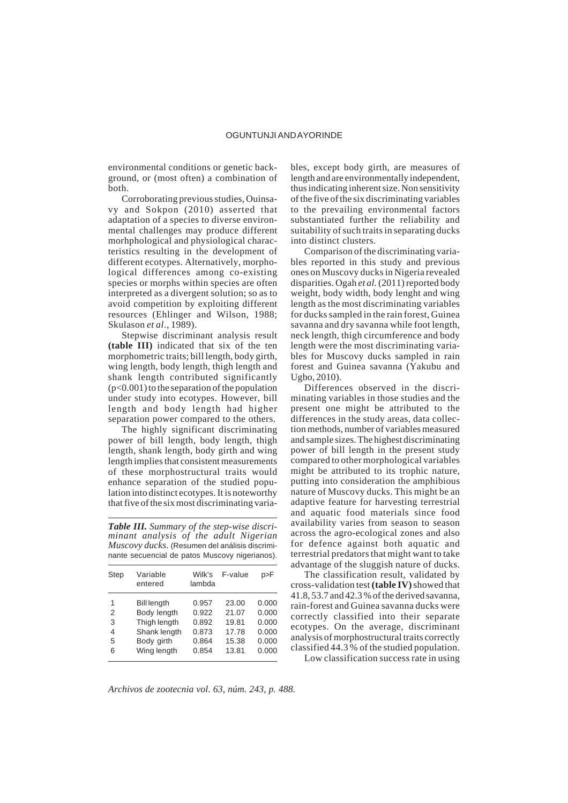environmental conditions or genetic background, or (most often) a combination of both.

Corroborating previous studies, Ouinsavy and Sokpon (2010) asserted that adaptation of a species to diverse environmental challenges may produce different morhphological and physiological characteristics resulting in the development of different ecotypes. Alternatively, morphological differences among co-existing species or morphs within species are often interpreted as a divergent solution; so as to avoid competition by exploiting different resources (Ehlinger and Wilson, 1988; Skulason *et al*., 1989).

Stepwise discriminant analysis result **(table III)** indicated that six of the ten morphometric traits; bill length, body girth, wing length, body length, thigh length and shank length contributed significantly  $(p<0.001)$  to the separation of the population under study into ecotypes. However, bill length and body length had higher separation power compared to the others.

The highly significant discriminating power of bill length, body length, thigh length, shank length, body girth and wing length implies that consistent measurements of these morphostructural traits would enhance separation of the studied population into distinct ecotypes. It is noteworthy that five of the six most discriminating varia-

*Table III. Summary of the step-wise discriminant analysis of the adult Nigerian Muscovy ducks.* (Resumen del análisis discriminante secuencial de patos Muscovy nigerianos).

| <b>Step</b> | Variable<br>entered | Wilk's<br>lambda | F-value | p>F   |
|-------------|---------------------|------------------|---------|-------|
| 1           | <b>Bill length</b>  | 0.957            | 23.00   | 0.000 |
| 2           | Body length         | 0.922            | 21.07   | 0.000 |
| 3           | Thigh length        | 0.892            | 19.81   | 0.000 |
| 4           | Shank length        | 0.873            | 17.78   | 0.000 |
| 5           | Body girth          | 0.864            | 15.38   | 0.000 |
| 6           | Wing length         | 0.854            | 13.81   | 0.000 |
|             |                     |                  |         |       |

bles, except body girth, are measures of length and are environmentally independent, thus indicating inherent size. Non sensitivity of the five of the six discriminating variables to the prevailing environmental factors substantiated further the reliability and suitability of such traits in separating ducks into distinct clusters.

Comparison of the discriminating variables reported in this study and previous ones on Muscovy ducks in Nigeria revealed disparities. Ogah *et al.* (2011) reported body weight, body width, body lenght and wing length as the most discriminating variables for ducks sampled in the rain forest, Guinea savanna and dry savanna while foot length, neck length, thigh circumference and body length were the most discriminating variables for Muscovy ducks sampled in rain forest and Guinea savanna (Yakubu and Ugbo, 2010).

Differences observed in the discriminating variables in those studies and the present one might be attributed to the differences in the study areas, data collection methods, number of variables measured and sample sizes. The highest discriminating power of bill length in the present study compared to other morphological variables might be attributed to its trophic nature, putting into consideration the amphibious nature of Muscovy ducks. This might be an adaptive feature for harvesting terrestrial and aquatic food materials since food availability varies from season to season across the agro-ecological zones and also for defence against both aquatic and terrestrial predators that might want to take advantage of the sluggish nature of ducks.

The classification result, validated by cross-validation test **(table IV)** showed that 41.8, 53.7 and 42.3 % of the derived savanna, rain-forest and Guinea savanna ducks were correctly classified into their separate ecotypes. On the average, discriminant analysis of morphostructural traits correctly classified 44.3 % of the studied population.

Low classification success rate in using

*Archivos de zootecnia vol. 63, núm. 243, p. 488.*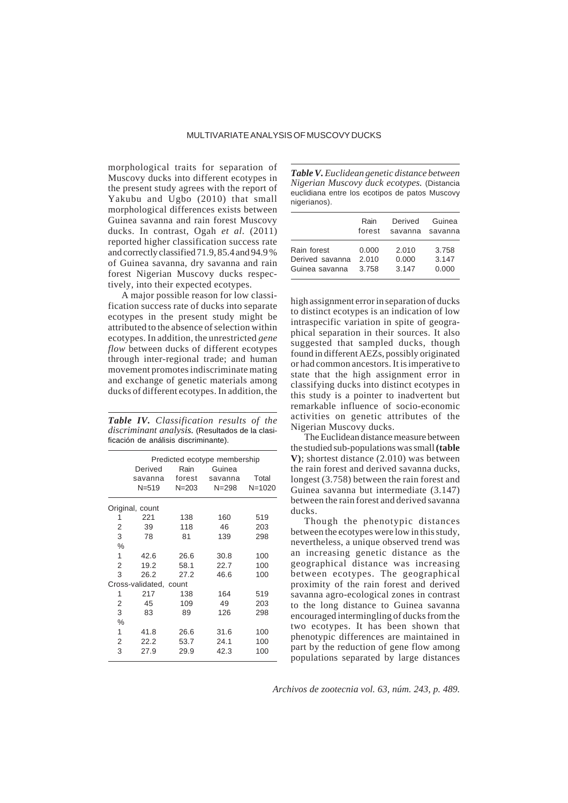## MULTIVARIATE ANALYSIS OF MUSCOVY DUCKS

morphological traits for separation of Muscovy ducks into different ecotypes in the present study agrees with the report of Yakubu and Ugbo (2010) that small morphological differences exists between Guinea savanna and rain forest Muscovy ducks. In contrast, Ogah *et al.* (2011) reported higher classification success rate and correctly classified 71.9, 85.4 and 94.9 % of Guinea savanna, dry savanna and rain forest Nigerian Muscovy ducks respectively, into their expected ecotypes.

A major possible reason for low classification success rate of ducks into separate ecotypes in the present study might be attributed to the absence of selection within ecotypes. In addition, the unrestricted *gene flow* between ducks of different ecotypes through inter-regional trade; and human movement promotes indiscriminate mating and exchange of genetic materials among ducks of different ecotypes. In addition, the

*Table IV. Classification results of the discriminant analysis.* (Resultados de la clasificación de análisis discriminante).

|                        | Derived         | Rain      | Predicted ecotype membership<br>Guinea |            |  |
|------------------------|-----------------|-----------|----------------------------------------|------------|--|
|                        | savanna         | forest    | savanna                                | Total      |  |
|                        | $N = 519$       | $N = 203$ | $N = 298$                              | $N = 1020$ |  |
|                        | Original, count |           |                                        |            |  |
| 1                      | 221             | 138       | 160                                    | 519        |  |
| 2                      | 39              | 118       | 46                                     | 203        |  |
| 3                      | 78              | 81        | 139                                    | 298        |  |
| $\%$                   |                 |           |                                        |            |  |
| 1                      | 42.6            | 26.6      | 30.8                                   | 100        |  |
| 2                      | 19.2            | 58.1      | 22.7                                   | 100        |  |
| 3                      | 26.2            | 27.2      | 46.6                                   | 100        |  |
| Cross-validated, count |                 |           |                                        |            |  |
| 1                      | 217             | 138       | 164                                    | 519        |  |
| 2                      | 45              | 109       | 49                                     | 203        |  |
| 3                      | 83              | 89        | 126                                    | 298        |  |
| $\%$                   |                 |           |                                        |            |  |
| 1                      | 41.8            | 26.6      | 31.6                                   | 100        |  |
| 2                      | 22.2            | 53.7      | 24.1                                   | 100        |  |
| 3                      | 27.9            | 29.9      | 42.3                                   | 100        |  |

*Table V. Euclidean genetic distance between Nigerian Muscovy duck ecotypes.* (Distancia euclidiana entre los ecotipos de patos Muscovy nigerianos).

|                 | Rain   | Derived | Guinea  |
|-----------------|--------|---------|---------|
|                 | forest | savanna | savanna |
| Rain forest     | 0.000  | 2.010   | 3.758   |
| Derived savanna | 2.010  | 0.000   | 3.147   |
| Guinea savanna  | 3.758  | 3.147   | 0.000   |

high assignment error in separation of ducks to distinct ecotypes is an indication of low intraspecific variation in spite of geographical separation in their sources. It also suggested that sampled ducks, though found in different AEZs, possibly originated or had common ancestors. It is imperative to state that the high assignment error in classifying ducks into distinct ecotypes in this study is a pointer to inadvertent but remarkable influence of socio-economic activities on genetic attributes of the Nigerian Muscovy ducks.

The Euclidean distance measure between the studied sub-populations was small **(table V)**; shortest distance (2.010) was between the rain forest and derived savanna ducks, longest (3.758) between the rain forest and Guinea savanna but intermediate (3.147) between the rain forest and derived savanna ducks.

Though the phenotypic distances between the ecotypes were low in this study, nevertheless, a unique observed trend was an increasing genetic distance as the geographical distance was increasing between ecotypes. The geographical proximity of the rain forest and derived savanna agro-ecological zones in contrast to the long distance to Guinea savanna encouraged intermingling of ducks from the two ecotypes. It has been shown that phenotypic differences are maintained in part by the reduction of gene flow among populations separated by large distances

*Archivos de zootecnia vol. 63, núm. 243, p. 489.*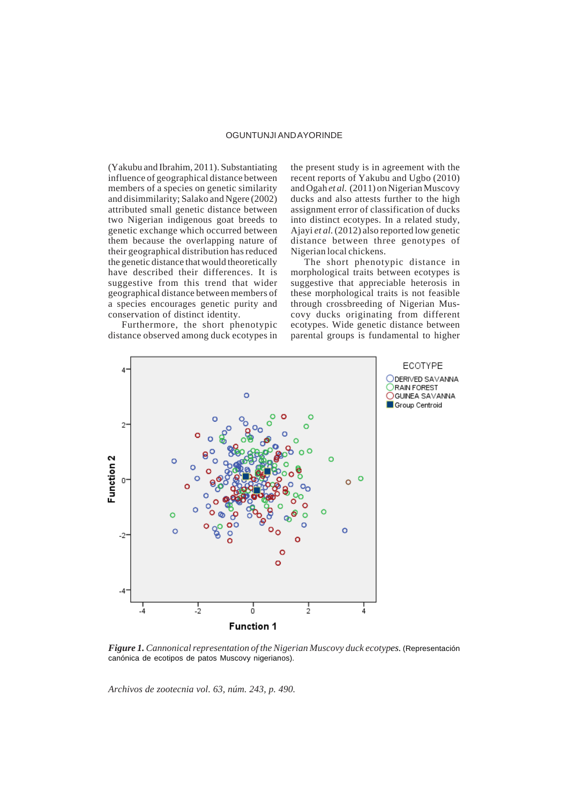(Yakubu and Ibrahim, 2011). Substantiating influence of geographical distance between members of a species on genetic similarity and disimmilarity; Salako and Ngere (2002) attributed small genetic distance between two Nigerian indigenous goat breeds to genetic exchange which occurred between them because the overlapping nature of their geographical distribution has reduced the genetic distance that would theoretically have described their differences. It is suggestive from this trend that wider geographical distance between members of a species encourages genetic purity and conservation of distinct identity.

Furthermore, the short phenotypic distance observed among duck ecotypes in the present study is in agreement with the recent reports of Yakubu and Ugbo (2010) and Ogah *et al.* (2011) on Nigerian Muscovy ducks and also attests further to the high assignment error of classification of ducks into distinct ecotypes. In a related study, Ajayi *et al.* (2012) also reported low genetic distance between three genotypes of Nigerian local chickens.

The short phenotypic distance in morphological traits between ecotypes is suggestive that appreciable heterosis in these morphological traits is not feasible through crossbreeding of Nigerian Muscovy ducks originating from different ecotypes. Wide genetic distance between parental groups is fundamental to higher



*Figure 1. Cannonical representation of the Nigerian Muscovy duck ecotypes.* (Representación canónica de ecotipos de patos Muscovy nigerianos).

*Archivos de zootecnia vol. 63, núm. 243, p. 490.*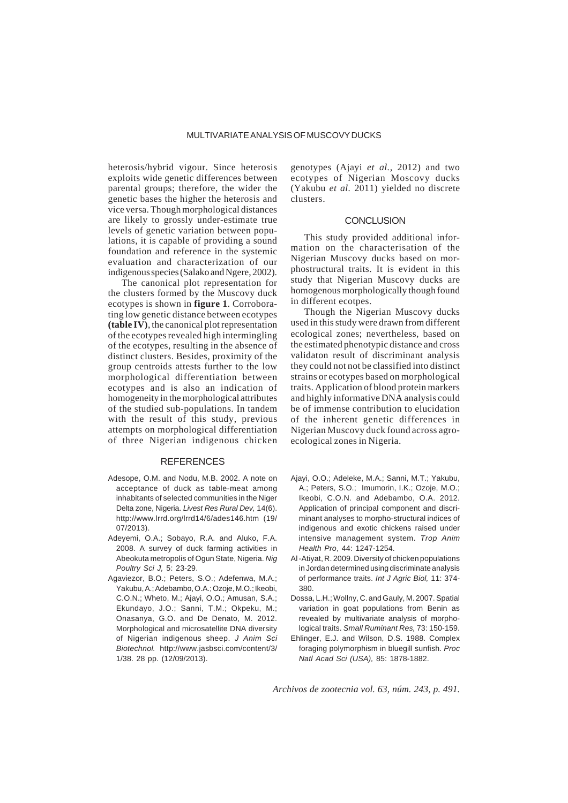heterosis/hybrid vigour. Since heterosis exploits wide genetic differences between parental groups; therefore, the wider the genetic bases the higher the heterosis and vice versa. Though morphological distances are likely to grossly under-estimate true levels of genetic variation between populations, it is capable of providing a sound foundation and reference in the systemic evaluation and characterization of our indigenous species (Salako and Ngere, 2002).

The canonical plot representation for the clusters formed by the Muscovy duck ecotypes is shown in **figure 1**. Corroborating low genetic distance between ecotypes **(table IV)**, the canonical plot representation of the ecotypes revealed high intermingling of the ecotypes, resulting in the absence of distinct clusters. Besides, proximity of the group centroids attests further to the low morphological differentiation between ecotypes and is also an indication of homogeneity in the morphological attributes of the studied sub-populations. In tandem with the result of this study, previous attempts on morphological differentiation of three Nigerian indigenous chicken

# REFERENCES

- Adesope, O.M. and Nodu, M.B. 2002. A note on acceptance of duck as table-meat among inhabitants of selected communities in the Niger Delta zone, Nigeria. *Livest Res Rural Dev,* 14(6). http://www.lrrd.org/lrrd14/6/ades146.htm (19/ 07/2013).
- Adeyemi, O.A.; Sobayo, R.A. and Aluko, F.A. 2008. A survey of duck farming activities in Abeokuta metropolis of Ogun State, Nigeria. *Nig Poultry Sci J,* 5: 23-29.
- Agaviezor, B.O.; Peters, S.O.; Adefenwa, M.A.; Yakubu, A.; Adebambo, O.A.; Ozoje, M.O.; Ikeobi, C.O.N.; Wheto, M.; Ajayi, O.O.; Amusan, S.A.; Ekundayo, J.O.; Sanni, T.M.; Okpeku, M.; Onasanya, G.O. and De Denato, M. 2012. Morphological and microsatellite DNA diversity of Nigerian indigenous sheep. *J Anim Sci Biotechnol.* http://www.jasbsci.com/content/3/ 1/38. 28 pp. (12/09/2013).

genotypes (Ajayi *et al.,* 2012) and two ecotypes of Nigerian Moscovy ducks (Yakubu *et al.* 2011) yielded no discrete clusters.

### **CONCLUSION**

This study provided additional information on the characterisation of the Nigerian Muscovy ducks based on morphostructural traits. It is evident in this study that Nigerian Muscovy ducks are homogenous morphologically though found in different ecotpes.

Though the Nigerian Muscovy ducks used in this study were drawn from different ecological zones; nevertheless, based on the estimated phenotypic distance and cross validaton result of discriminant analysis they could not not be classified into distinct strains or ecotypes based on morphological traits. Application of blood protein markers and highly informative DNA analysis could be of immense contribution to elucidation of the inherent genetic differences in Nigerian Muscovy duck found across agroecological zones in Nigeria.

- Ajayi, O.O.; Adeleke, M.A.; Sanni, M.T.; Yakubu, A.; Peters, S.O.; Imumorin, I.K.; Ozoje, M.O.; Ikeobi, C.O.N. and Adebambo, O.A. 2012. Application of principal component and discriminant analyses to morpho-structural indices of indigenous and exotic chickens raised under intensive management system. *Trop Anim Health Pro*, 44: 1247-1254.
- Al -Atiyat, R. 2009. Diversity of chicken populations in Jordan determined using discriminate analysis of performance traits. *Int J Agric Biol,* 11: 374- 380.
- Dossa, L.H.; Wollny, C. and Gauly, M. 2007. Spatial variation in goat populations from Benin as revealed by multivariate analysis of morphological traits. *Small Ruminant Res,* 73: 150-159.
- Ehlinger, E.J. and Wilson, D.S. 1988. Complex foraging polymorphism in bluegill sunfish. *Proc Natl Acad Sci (USA),* 85: 1878-1882.

*Archivos de zootecnia vol. 63, núm. 243, p. 491.*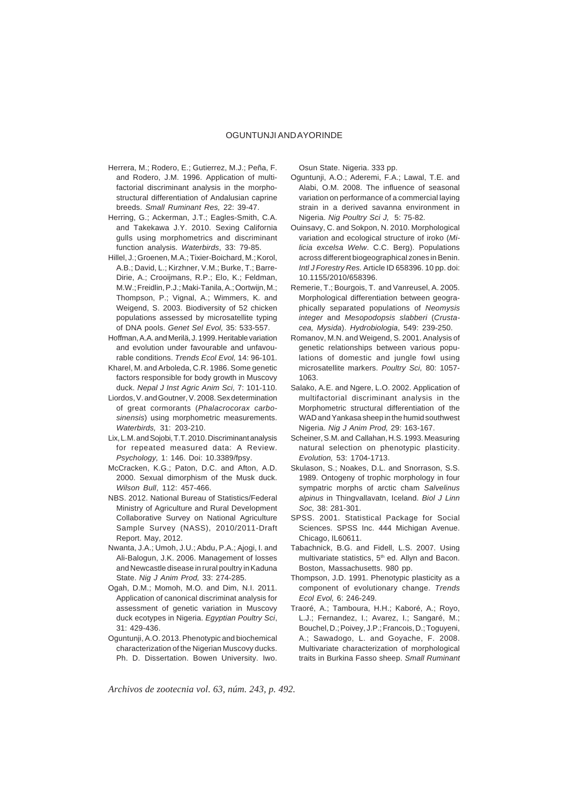- Herrera, M.; Rodero, E.; Gutierrez, M.J.; Peña, F. and Rodero, J.M. 1996. Application of multifactorial discriminant analysis in the morphostructural differentiation of Andalusian caprine breeds. *Small Ruminant Res,* 22: 39-47.
- Herring, G.; Ackerman, J.T.; Eagles-Smith, C.A. and Takekawa J.Y. 2010. Sexing California gulls using morphometrics and discriminant function analysis. *Waterbirds*, 33: 79-85.
- Hillel, J.; Groenen, M.A.; Tixier-Boichard, M.; Korol, A.B.; David, L.; Kirzhner, V.M.; Burke, T.; Barre-Dirie, A.; Crooijmans, R.P.; Elo, K.; Feldman, M.W.; Freidlin, P.J.; Maki-Tanila, A.; Oortwijn, M.; Thompson, P.; Vignal, A.; Wimmers, K. and Weigend, S. 2003. Biodiversity of 52 chicken populations assessed by microsatellite typing of DNA pools. *Genet Sel Evol,* 35: 533-557.
- Hoffman, A.A. and Merilä, J. 1999. Heritable variation and evolution under favourable and unfavourable conditions. *Trends Ecol Evol,* 14: 96-101.
- Kharel, M. and Arboleda, C.R. 1986. Some genetic factors responsible for body growth in Muscovy duck. *Nepal J Inst Agric Anim Sci,* 7: 101-110.
- Liordos, V. and Goutner, V. 2008. Sex determination of great cormorants (*Phalacrocorax carbosinensis*) using morphometric measurements. *Waterbirds,* 31: 203-210.
- Lix, L.M. and Sojobi, T.T. 2010. Discriminant analysis for repeated measured data: A Review. *Psychology,* 1: 146. Doi: 10.3389/fpsy.
- McCracken, K.G.; Paton, D.C. and Afton, A.D. 2000. Sexual dimorphism of the Musk duck. *Wilson Bull*, 112: 457-466.
- NBS. 2012. National Bureau of Statistics/Federal Ministry of Agriculture and Rural Development Collaborative Survey on National Agriculture Sample Survey (NASS), 2010/2011-Draft Report. May, 2012.
- Nwanta, J.A.; Umoh, J.U.; Abdu, P.A.; Ajogi, I. and Ali-Balogun, J.K. 2006. Management of losses and Newcastle disease in rural poultry in Kaduna State. *Nig J Anim Prod,* 33: 274-285.
- Ogah, D.M.; Momoh, M.O. and Dim, N.I. 2011. Application of canonical discriminat analysis for assessment of genetic variation in Muscovy duck ecotypes in Nigeria. *Egyptian Poultry Sci*, 31: 429-436.
- Oguntunji, A.O. 2013. Phenotypic and biochemical characterization of the Nigerian Muscovy ducks. Ph. D. Dissertation. Bowen University. Iwo.

Osun State. Nigeria. 333 pp.

- Oguntunji, A.O.; Aderemi, F.A.; Lawal, T.E. and Alabi, O.M. 2008. The influence of seasonal variation on performance of a commercial laying strain in a derived savanna environment in Nigeria. *Nig Poultry Sci J,* 5: 75-82*.*
- Ouinsavy, C. and Sokpon, N. 2010. Morphological variation and ecological structure of iroko (*Milicia excelsa Welw*. C.C. Berg). Populations across different biogeographical zones in Benin. *Intl J Forestry Res.* Article ID 658396. 10 pp. doi: 10.1155/2010/658396.
- Remerie, T.; Bourgois, T. and Vanreusel, A. 2005. Morphological differentiation between geographically separated populations of *Neomysis integer* and *Mesopodopsis slabberi* (*Crustacea, Mysida*). *Hydrobiologia*, 549: 239-250.
- Romanov, M.N. and Weigend, S. 2001. Analysis of genetic relationships between various populations of domestic and jungle fowl using microsatellite markers. *Poultry Sci,* 80: 1057- 1063.
- Salako, A.E. and Ngere, L.O. 2002. Application of multifactorial discriminant analysis in the Morphometric structural differentiation of the WAD and Yankasa sheep in the humid southwest Nigeria. *Nig J Anim Prod,* 29: 163-167.
- Scheiner, S.M. and Callahan, H.S. 1993. Measuring natural selection on phenotypic plasticity. *Evolution,* 53: 1704-1713.
- Skulason, S.; Noakes, D.L. and Snorrason, S.S. 1989. Ontogeny of trophic morphology in four sympatric morphs of arctic cham *Salvelinus alpinus* in Thingvallavatn, Iceland. *Biol J Linn Soc,* 38: 281-301.
- SPSS. 2001. Statistical Package for Social Sciences. SPSS Inc. 444 Michigan Avenue. Chicago, IL60611.
- Tabachnick, B.G. and Fidell, L.S. 2007. Using multivariate statistics, 5<sup>th</sup> ed. Allyn and Bacon. Boston, Massachusetts. 980 pp.
- Thompson, J.D. 1991. Phenotypic plasticity as a component of evolutionary change. *Trends Ecol Evol,* 6: 246-249.
- Traoré, A.; Tamboura, H.H.; Kaboré, A.; Royo, L.J.; Fernandez, I.; Avarez, I.; Sangaré, M.; Bouchel, D.; Poivey, J.P.; Francois, D.; Toguyeni, A.; Sawadogo, L. and Goyache, F. 2008. Multivariate characterization of morphological traits in Burkina Fasso sheep. *Small Ruminant*

*Archivos de zootecnia vol. 63, núm. 243, p. 492.*